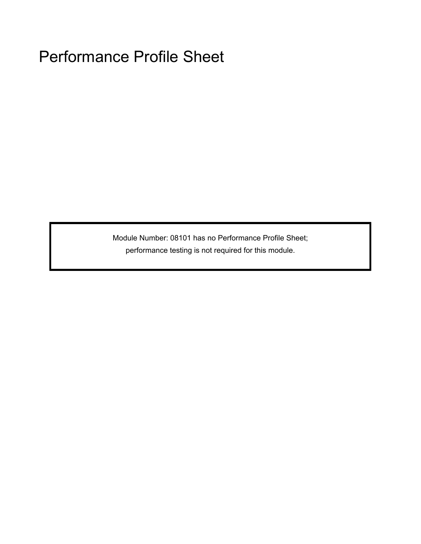Module Number: 08101 has no Performance Profile Sheet; performance testing is not required for this module.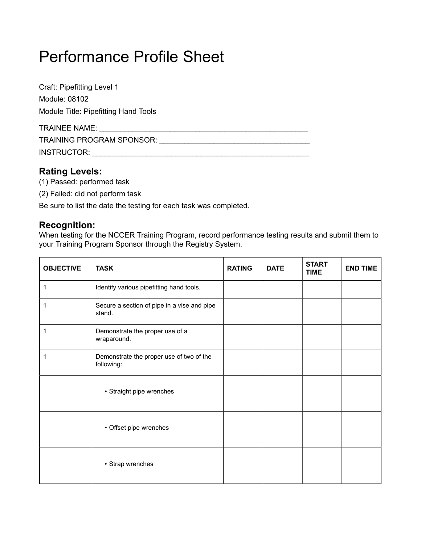Craft: Pipefitting Level 1 Module: 08102 Module Title: Pipefitting Hand Tools TRAINEE NAME: \_\_\_\_\_\_\_\_\_\_\_\_\_\_\_\_\_\_\_\_\_\_\_\_\_\_\_\_\_\_\_\_\_\_\_\_\_\_\_\_\_\_\_\_\_\_\_\_\_\_

TRAINING PROGRAM SPONSOR: \_\_\_\_\_\_\_\_\_\_\_\_\_\_\_\_\_\_\_\_\_\_\_\_\_\_\_\_\_\_\_\_\_\_\_\_

INSTRUCTOR: \_\_\_\_\_\_\_\_\_\_\_\_\_\_\_\_\_\_\_\_\_\_\_\_\_\_\_\_\_\_\_\_\_\_\_\_\_\_\_\_\_\_\_\_\_\_\_\_\_\_\_\_

## **Rating Levels:**

- (1) Passed: performed task
- (2) Failed: did not perform task

Be sure to list the date the testing for each task was completed.

## **Recognition:**

When testing for the NCCER Training Program, record performance testing results and submit them to your Training Program Sponsor through the Registry System.

| <b>OBJECTIVE</b> | <b>TASK</b>                                            | <b>RATING</b> | <b>DATE</b> | <b>START</b><br><b>TIME</b> | <b>END TIME</b> |
|------------------|--------------------------------------------------------|---------------|-------------|-----------------------------|-----------------|
| 1                | Identify various pipefitting hand tools.               |               |             |                             |                 |
| 1                | Secure a section of pipe in a vise and pipe<br>stand.  |               |             |                             |                 |
| 1                | Demonstrate the proper use of a<br>wraparound.         |               |             |                             |                 |
| 1                | Demonstrate the proper use of two of the<br>following: |               |             |                             |                 |
|                  | • Straight pipe wrenches                               |               |             |                             |                 |
|                  | • Offset pipe wrenches                                 |               |             |                             |                 |
|                  | • Strap wrenches                                       |               |             |                             |                 |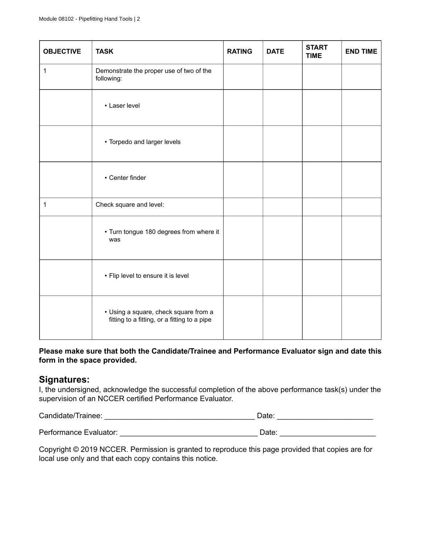| <b>OBJECTIVE</b> | <b>TASK</b>                                                                           | <b>RATING</b> | <b>DATE</b> | <b>START</b><br><b>TIME</b> | <b>END TIME</b> |
|------------------|---------------------------------------------------------------------------------------|---------------|-------------|-----------------------------|-----------------|
| 1                | Demonstrate the proper use of two of the<br>following:                                |               |             |                             |                 |
|                  | • Laser level                                                                         |               |             |                             |                 |
|                  | • Torpedo and larger levels                                                           |               |             |                             |                 |
|                  | • Center finder                                                                       |               |             |                             |                 |
| 1                | Check square and level:                                                               |               |             |                             |                 |
|                  | • Turn tongue 180 degrees from where it<br>was                                        |               |             |                             |                 |
|                  | • Flip level to ensure it is level                                                    |               |             |                             |                 |
|                  | • Using a square, check square from a<br>fitting to a fitting, or a fitting to a pipe |               |             |                             |                 |

#### **Please make sure that both the Candidate/Trainee and Performance Evaluator sign and date this form in the space provided.**

### **Signatures:**

I, the undersigned, acknowledge the successful completion of the above performance task(s) under the supervision of an NCCER certified Performance Evaluator.

| Candidate/Trainee:     | Date: |
|------------------------|-------|
| Performance Evaluator: | Date: |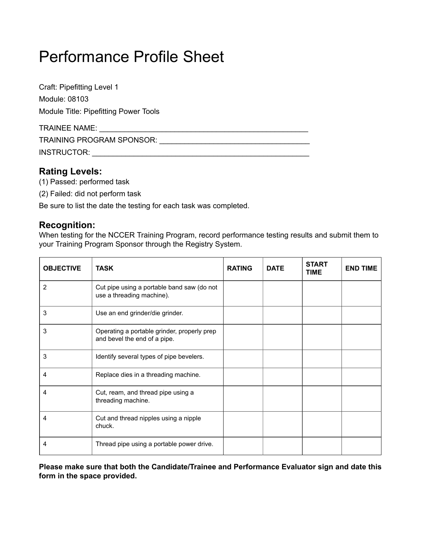Craft: Pipefitting Level 1 Module: 08103 Module Title: Pipefitting Power Tools

| <b>TRAINEE NAME:</b>             |  |
|----------------------------------|--|
| <b>TRAINING PROGRAM SPONSOR:</b> |  |
| INSTRUCTOR:                      |  |

## **Rating Levels:**

- (1) Passed: performed task
- (2) Failed: did not perform task

Be sure to list the date the testing for each task was completed.

## **Recognition:**

When testing for the NCCER Training Program, record performance testing results and submit them to your Training Program Sponsor through the Registry System.

| <b>OBJECTIVE</b> | <b>TASK</b>                                                                 | <b>RATING</b> | <b>DATE</b> | <b>START</b><br><b>TIME</b> | <b>END TIME</b> |
|------------------|-----------------------------------------------------------------------------|---------------|-------------|-----------------------------|-----------------|
| 2                | Cut pipe using a portable band saw (do not<br>use a threading machine).     |               |             |                             |                 |
| 3                | Use an end grinder/die grinder.                                             |               |             |                             |                 |
| 3                | Operating a portable grinder, properly prep<br>and bevel the end of a pipe. |               |             |                             |                 |
| 3                | Identify several types of pipe bevelers.                                    |               |             |                             |                 |
| 4                | Replace dies in a threading machine.                                        |               |             |                             |                 |
| 4                | Cut, ream, and thread pipe using a<br>threading machine.                    |               |             |                             |                 |
| 4                | Cut and thread nipples using a nipple<br>chuck.                             |               |             |                             |                 |
| 4                | Thread pipe using a portable power drive.                                   |               |             |                             |                 |

**Please make sure that both the Candidate/Trainee and Performance Evaluator sign and date this form in the space provided.**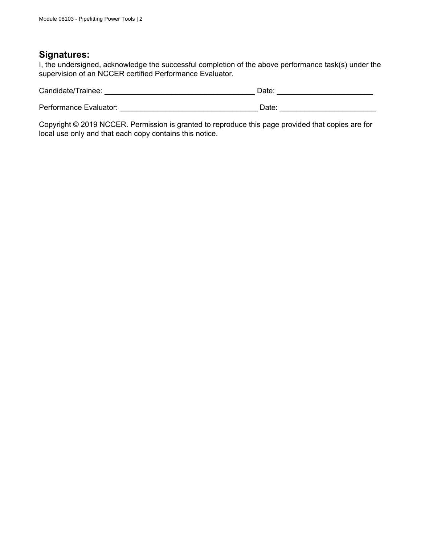## **Signatures:**

I, the undersigned, acknowledge the successful completion of the above performance task(s) under the supervision of an NCCER certified Performance Evaluator.

| Candidate/Trainee:     | Date: |
|------------------------|-------|
|                        |       |
| Performance Evaluator: | Date: |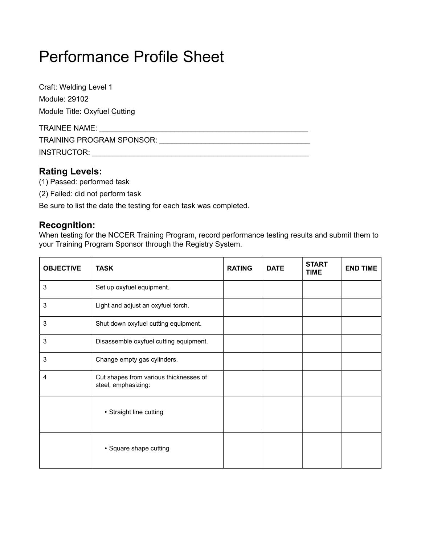Craft: Welding Level 1 Module: 29102 Module Title: Oxyfuel Cutting

| <b>TRAINEE NAME:</b>             |  |
|----------------------------------|--|
| <b>TRAINING PROGRAM SPONSOR:</b> |  |
| INSTRUCTOR:                      |  |

## **Rating Levels:**

- (1) Passed: performed task
- (2) Failed: did not perform task

Be sure to list the date the testing for each task was completed.

## **Recognition:**

When testing for the NCCER Training Program, record performance testing results and submit them to your Training Program Sponsor through the Registry System.

| <b>OBJECTIVE</b> | <b>TASK</b>                                                   | <b>RATING</b> | <b>DATE</b> | <b>START</b><br><b>TIME</b> | <b>END TIME</b> |
|------------------|---------------------------------------------------------------|---------------|-------------|-----------------------------|-----------------|
| 3                | Set up oxyfuel equipment.                                     |               |             |                             |                 |
| 3                | Light and adjust an oxyfuel torch.                            |               |             |                             |                 |
| 3                | Shut down oxyfuel cutting equipment.                          |               |             |                             |                 |
| 3                | Disassemble oxyfuel cutting equipment.                        |               |             |                             |                 |
| 3                | Change empty gas cylinders.                                   |               |             |                             |                 |
| 4                | Cut shapes from various thicknesses of<br>steel, emphasizing: |               |             |                             |                 |
|                  | • Straight line cutting                                       |               |             |                             |                 |
|                  | • Square shape cutting                                        |               |             |                             |                 |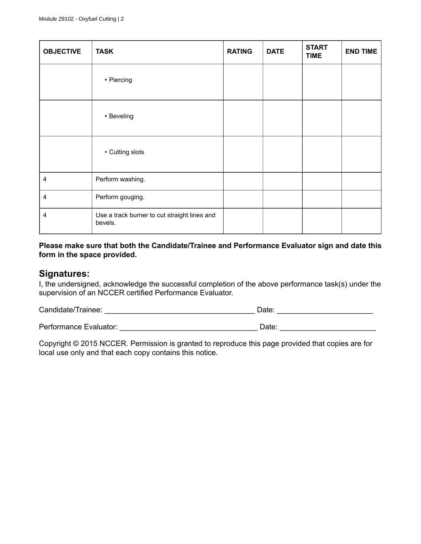| <b>OBJECTIVE</b> | <b>TASK</b>                                             | <b>RATING</b> | <b>DATE</b> | <b>START</b><br><b>TIME</b> | <b>END TIME</b> |
|------------------|---------------------------------------------------------|---------------|-------------|-----------------------------|-----------------|
|                  | • Piercing                                              |               |             |                             |                 |
|                  | • Beveling                                              |               |             |                             |                 |
|                  | • Cutting slots                                         |               |             |                             |                 |
| 4                | Perform washing.                                        |               |             |                             |                 |
| 4                | Perform gouging.                                        |               |             |                             |                 |
| 4                | Use a track burner to cut straight lines and<br>bevels. |               |             |                             |                 |

#### **Please make sure that both the Candidate/Trainee and Performance Evaluator sign and date this form in the space provided.**

#### **Signatures:**

I, the undersigned, acknowledge the successful completion of the above performance task(s) under the supervision of an NCCER certified Performance Evaluator.

| Candidate/Trainee:     | Date: |
|------------------------|-------|
|                        |       |
| Performance Evaluator: | Date: |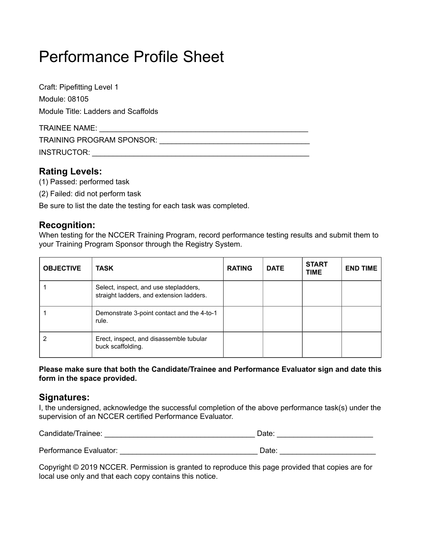Craft: Pipefitting Level 1 Module: 08105 Module Title: Ladders and Scaffolds

| TRAINEE NAME:                    |  |
|----------------------------------|--|
| <b>TRAINING PROGRAM SPONSOR:</b> |  |
| INSTRUCTOR:                      |  |

## **Rating Levels:**

- (1) Passed: performed task
- (2) Failed: did not perform task

Be sure to list the date the testing for each task was completed.

## **Recognition:**

When testing for the NCCER Training Program, record performance testing results and submit them to your Training Program Sponsor through the Registry System.

| <b>OBJECTIVE</b> | TASK                                                                              | <b>RATING</b> | <b>DATE</b> | <b>START</b><br><b>TIME</b> | <b>END TIME</b> |
|------------------|-----------------------------------------------------------------------------------|---------------|-------------|-----------------------------|-----------------|
|                  | Select, inspect, and use stepladders,<br>straight ladders, and extension ladders. |               |             |                             |                 |
|                  | Demonstrate 3-point contact and the 4-to-1<br>rule.                               |               |             |                             |                 |
|                  | Erect, inspect, and disassemble tubular<br>buck scaffolding.                      |               |             |                             |                 |

**Please make sure that both the Candidate/Trainee and Performance Evaluator sign and date this form in the space provided.**

## **Signatures:**

I, the undersigned, acknowledge the successful completion of the above performance task(s) under the supervision of an NCCER certified Performance Evaluator.

| Candidate/Trainee:     | Date: |  |
|------------------------|-------|--|
| Performance Evaluator: | Date: |  |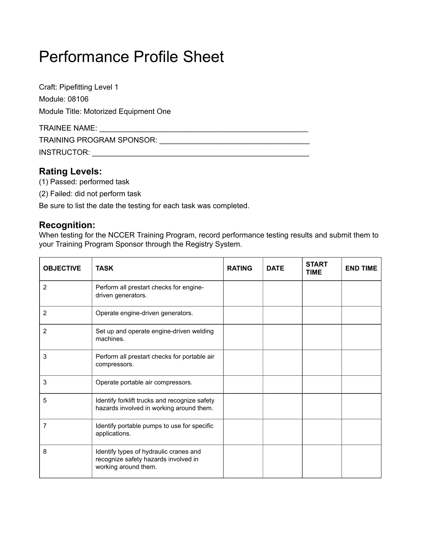Craft: Pipefitting Level 1 Module: 08106 Module Title: Motorized Equipment One TRAINEE NAME: \_\_\_\_\_\_\_\_\_\_\_\_\_\_\_\_\_\_\_\_\_\_\_\_\_\_\_\_\_\_\_\_\_\_\_\_\_\_\_\_\_\_\_\_\_\_\_\_\_\_ TRAINING PROGRAM SPONSOR: \_\_\_\_\_\_\_\_\_\_\_\_\_\_\_\_\_\_\_\_\_\_\_\_\_\_\_\_\_\_\_\_\_\_\_\_

INSTRUCTOR: \_\_\_\_\_\_\_\_\_\_\_\_\_\_\_\_\_\_\_\_\_\_\_\_\_\_\_\_\_\_\_\_\_\_\_\_\_\_\_\_\_\_\_\_\_\_\_\_\_\_\_\_

## **Rating Levels:**

- (1) Passed: performed task
- (2) Failed: did not perform task

Be sure to list the date the testing for each task was completed.

### **Recognition:**

When testing for the NCCER Training Program, record performance testing results and submit them to your Training Program Sponsor through the Registry System.

| <b>OBJECTIVE</b> | <b>TASK</b>                                                                                            | <b>RATING</b> | <b>DATE</b> | <b>START</b><br><b>TIME</b> | <b>END TIME</b> |
|------------------|--------------------------------------------------------------------------------------------------------|---------------|-------------|-----------------------------|-----------------|
| 2                | Perform all prestart checks for engine-<br>driven generators.                                          |               |             |                             |                 |
| $\overline{2}$   | Operate engine-driven generators.                                                                      |               |             |                             |                 |
| 2                | Set up and operate engine-driven welding<br>machines.                                                  |               |             |                             |                 |
| 3                | Perform all prestart checks for portable air<br>compressors.                                           |               |             |                             |                 |
| 3                | Operate portable air compressors.                                                                      |               |             |                             |                 |
| 5                | Identify forklift trucks and recognize safety<br>hazards involved in working around them.              |               |             |                             |                 |
| 7                | Identify portable pumps to use for specific<br>applications.                                           |               |             |                             |                 |
| 8                | Identify types of hydraulic cranes and<br>recognize safety hazards involved in<br>working around them. |               |             |                             |                 |